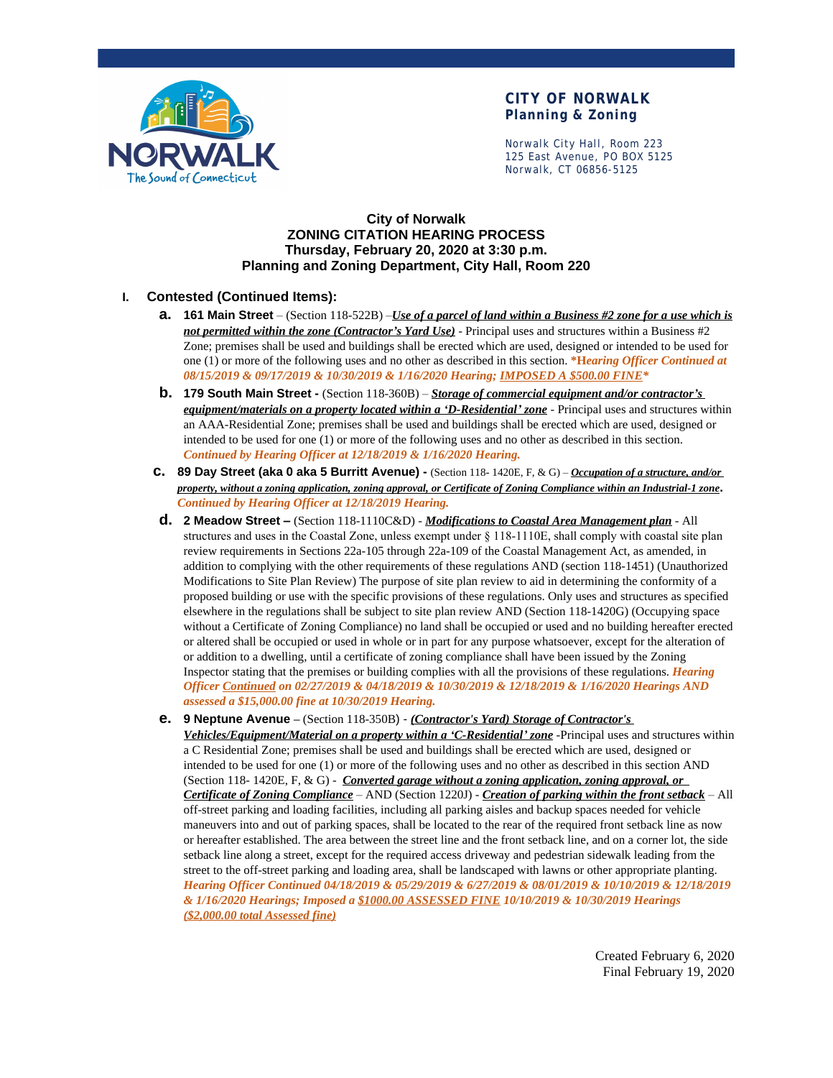

Norwalk City Hall, Room 223 125 East Avenue, PO BOX 5125 Norwalk, CT 06856-5125

### **City of Norwalk ZONING CITATION HEARING PROCESS Thursday, February 20, 2020 at 3:30 p.m. Planning and Zoning Department, City Hall, Room 220**

### **I. Contested (Continued Items):**

- **a. 161 Main Street**  (Section 118-522B) –*Use of a parcel of land within a Business #2 zone for a use which is not permitted within the zone (Contractor's Yard Use)* - Principal uses and structures within a Business #2 Zone; premises shall be used and buildings shall be erected which are used, designed or intended to be used for one (1) or more of the following uses and no other as described in this section. **\*H***earing Officer Continued at 08/15/2019 & 09/17/2019 & 10/30/2019 & 1/16/2020 Hearing; IMPOSED A \$500.00 FINE\**
- **b. 179 South Main Street -** (Section 118-360B) *Storage of commercial equipment and/or contractor's equipment/materials on a property located within a 'D-Residential' zone* - Principal uses and structures within an AAA-Residential Zone; premises shall be used and buildings shall be erected which are used, designed or intended to be used for one (1) or more of the following uses and no other as described in this section. *Continued by Hearing Officer at 12/18/2019 & 1/16/2020 Hearing.*
- **c. 89 Day Street (aka 0 aka 5 Burritt Avenue)** (Section 118- 1420E, F, & G) *Occupation of a structure, and/or property, without a zoning application, zoning approval, or Certificate of Zoning Compliance within an Industrial-1 zone***.** *Continued by Hearing Officer at 12/18/2019 Hearing.*
- **d. 2 Meadow Street –** (Section 118-1110C&D) *Modifications to Coastal Area Management plan* All structures and uses in the Coastal Zone, unless exempt under § 118-1110E, shall comply with coastal site plan review requirements in Sections 22a-105 through 22a-109 of the Coastal Management Act, as amended, in addition to complying with the other requirements of these regulations AND (section 118-1451) (Unauthorized Modifications to Site Plan Review) The purpose of site plan review to aid in determining the conformity of a proposed building or use with the specific provisions of these regulations. Only uses and structures as specified elsewhere in the regulations shall be subject to site plan review AND (Section 118-1420G) (Occupying space without a Certificate of Zoning Compliance) no land shall be occupied or used and no building hereafter erected or altered shall be occupied or used in whole or in part for any purpose whatsoever, except for the alteration of or addition to a dwelling, until a certificate of zoning compliance shall have been issued by the Zoning Inspector stating that the premises or building complies with all the provisions of these regulations. *Hearing Officer Continued on 02/27/2019 & 04/18/2019 & 10/30/2019 & 12/18/2019 & 1/16/2020 Hearings AND assessed a \$15,000.00 fine at 10/30/2019 Hearing.*
- **e. 9 Neptune Avenue –** (Section 118-350B) *(Contractor's Yard) Storage of Contractor's Vehicles/Equipment/Material on a property within a 'C-Residential' zone* -Principal uses and structures within a C Residential Zone; premises shall be used and buildings shall be erected which are used, designed or intended to be used for one (1) or more of the following uses and no other as described in this section AND (Section 118- 1420E, F, & G) - *Converted garage without a zoning application, zoning approval, or Certificate of Zoning Compliance* – AND (Section 1220J) - *Creation of parking within the front setback* – All off-street parking and loading facilities, including all parking aisles and backup spaces needed for vehicle maneuvers into and out of parking spaces, shall be located to the rear of the required front setback line as now or hereafter established. The area between the street line and the front setback line, and on a corner lot, the side setback line along a street, except for the required access driveway and pedestrian sidewalk leading from the street to the off-street parking and loading area, shall be landscaped with lawns or other appropriate planting. *Hearing Officer Continued 04/18/2019 & 05/29/2019 & 6/27/2019 & 08/01/2019 & 10/10/2019 & 12/18/2019 & 1/16/2020 Hearings; Imposed a \$1000.00 ASSESSED FINE 10/10/2019 & 10/30/2019 Hearings (\$2,000.00 total Assessed fine)*

Created February 6, 2020 Final February 19, 2020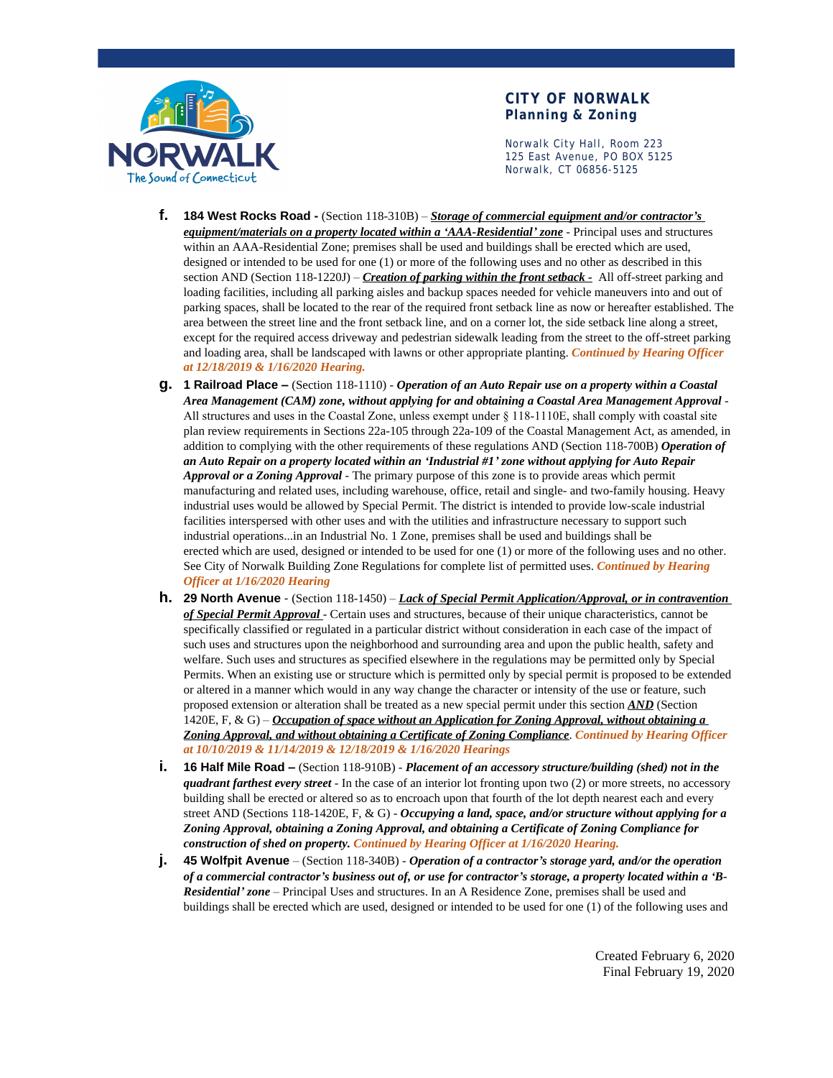

Norwalk City Hall, Room 223 125 East Avenue, PO BOX 5125 Norwalk, CT 06856-5125

- **f. 184 West Rocks Road** (Section 118-310B) *Storage of commercial equipment and/or contractor's equipment/materials on a property located within a 'AAA-Residential' zone* - Principal uses and structures within an AAA-Residential Zone; premises shall be used and buildings shall be erected which are used, designed or intended to be used for one (1) or more of the following uses and no other as described in this section AND (Section 118-1220J) – *Creation of parking within the front setback -* All off-street parking and loading facilities, including all parking aisles and backup spaces needed for vehicle maneuvers into and out of parking spaces, shall be located to the rear of the required front setback line as now or hereafter established. The area between the street line and the front setback line, and on a corner lot, the side setback line along a street, except for the required access driveway and pedestrian sidewalk leading from the street to the off-street parking and loading area, shall be landscaped with lawns or other appropriate planting. *Continued by Hearing Officer at 12/18/2019 & 1/16/2020 Hearing.*
- **g. 1 Railroad Place –** (Section 118-1110) *Operation of an Auto Repair use on a property within a Coastal Area Management (CAM) zone, without applying for and obtaining a Coastal Area Management Approval* - All structures and uses in the Coastal Zone, unless exempt under § 118-1110E, shall comply with coastal site plan review requirements in Sections 22a-105 through 22a-109 of the Coastal Management Act, as amended, in addition to complying with the other requirements of these regulations AND (Section 118-700B) *Operation of an Auto Repair on a property located within an 'Industrial #1' zone without applying for Auto Repair Approval or a Zoning Approval* - The primary purpose of this zone is to provide areas which permit manufacturing and related uses, including warehouse, office, retail and single- and two-family housing. Heavy industrial uses would be allowed by Special Permit. The district is intended to provide low-scale industrial facilities interspersed with other uses and with the utilities and infrastructure necessary to support such industrial operations...in an Industrial No. 1 Zone, premises shall be used and buildings shall be erected which are used, designed or intended to be used for one (1) or more of the following uses and no other. See City of Norwalk Building Zone Regulations for complete list of permitted uses. *Continued by Hearing Officer at 1/16/2020 Hearing*
- **h. 29 North Avenue**  (Section 118-1450) *Lack of Special Permit Application/Approval, or in contravention of Special Permit Approval* - Certain uses and structures, because of their unique characteristics, cannot be specifically classified or regulated in a particular district without consideration in each case of the impact of such uses and structures upon the neighborhood and surrounding area and upon the public health, safety and welfare. Such uses and structures as specified elsewhere in the regulations may be permitted only by Special Permits. When an existing use or structure which is permitted only by special permit is proposed to be extended or altered in a manner which would in any way change the character or intensity of the use or feature, such proposed extension or alteration shall be treated as a new special permit under this section *AND* (Section 1420E, F, & G) – *Occupation of space without an Application for Zoning Approval, without obtaining a Zoning Approval, and without obtaining a Certificate of Zoning Compliance*. *Continued by Hearing Officer at 10/10/2019 & 11/14/2019 & 12/18/2019 & 1/16/2020 Hearings*
- **i. 16 Half Mile Road –** (Section 118-910B) *Placement of an accessory structure/building (shed) not in the quadrant farthest every street* - In the case of an interior lot fronting upon two (2) or more streets, no accessory building shall be erected or altered so as to encroach upon that fourth of the lot depth nearest each and every street AND (Sections 118-1420E, F, & G) - *Occupying a land, space, and/or structure without applying for a Zoning Approval, obtaining a Zoning Approval, and obtaining a Certificate of Zoning Compliance for construction of shed on property. Continued by Hearing Officer at 1/16/2020 Hearing.*
- **j. 45 Wolfpit Avenue**  (Section 118-340B) *Operation of a contractor's storage yard, and/or the operation of a commercial contractor's business out of, or use for contractor's storage, a property located within a 'B-Residential' zone* – Principal Uses and structures. In an A Residence Zone, premises shall be used and buildings shall be erected which are used, designed or intended to be used for one (1) of the following uses and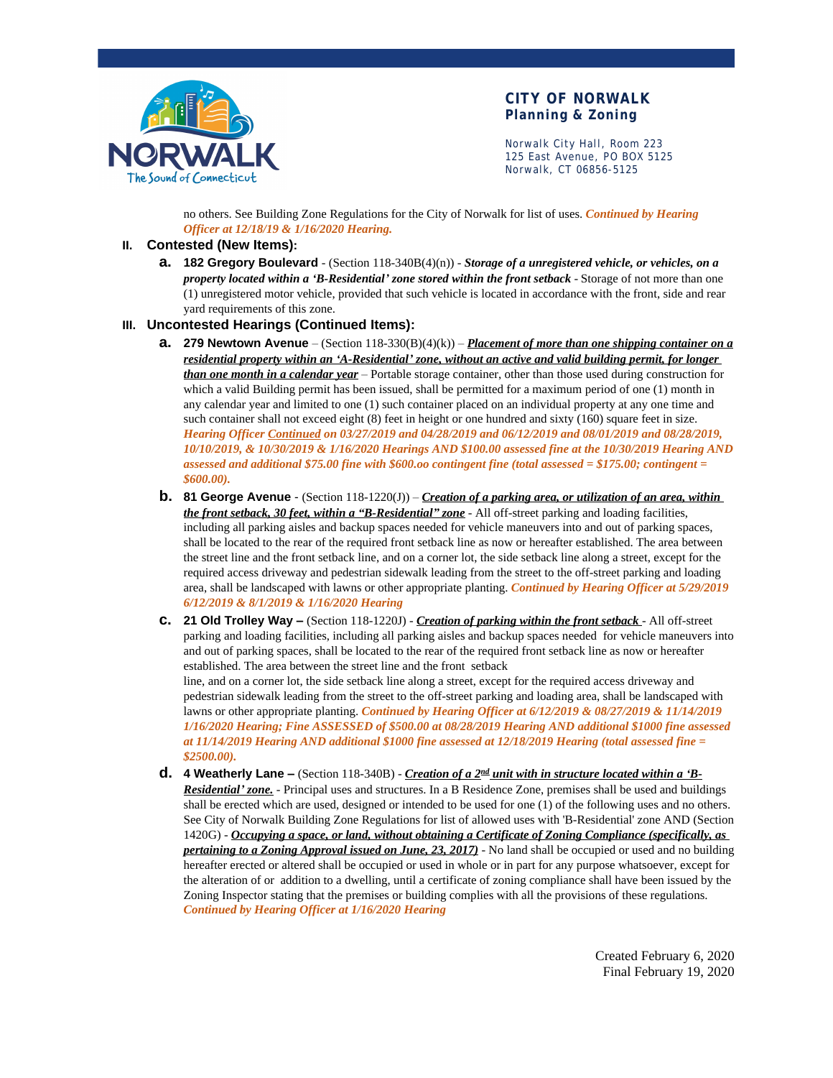

Norwalk City Hall, Room 223 125 East Avenue, PO BOX 5125 Norwalk, CT 06856-5125

no others. See Building Zone Regulations for the City of Norwalk for list of uses. *Continued by Hearing Officer at 12/18/19 & 1/16/2020 Hearing.*

#### **II. Contested (New Items):**

**a. 182 Gregory Boulevard** - (Section 118-340B(4)(n)) - *Storage of a unregistered vehicle, or vehicles, on a property located within a 'B-Residential' zone stored within the front setback* - Storage of not more than one (1) unregistered motor vehicle, provided that such vehicle is located in accordance with the front, side and rear yard requirements of this zone.

#### **III. Uncontested Hearings (Continued Items):**

- **a. 279 Newtown Avenue**  (Section 118-330(B)(4)(k)) *Placement of more than one shipping container on a residential property within an 'A-Residential' zone, without an active and valid building permit, for longer than one month in a calendar year* – Portable storage container, other than those used during construction for which a valid Building permit has been issued, shall be permitted for a maximum period of one (1) month in any calendar year and limited to one (1) such container placed on an individual property at any one time and such container shall not exceed eight (8) feet in height or one hundred and sixty (160) square feet in size. *Hearing Officer Continued on 03/27/2019 and 04/28/2019 and 06/12/2019 and 08/01/2019 and 08/28/2019, 10/10/2019, & 10/30/2019 & 1/16/2020 Hearings AND \$100.00 assessed fine at the 10/30/2019 Hearing AND assessed and additional \$75.00 fine with \$600.oo contingent fine (total assessed = \$175.00; contingent = \$600.00).*
- **b. 81 George Avenue**  (Section 118-1220(J)) *Creation of a parking area, or utilization of an area, within the front setback, 30 feet, within a "B-Residential" zone* - All off-street parking and loading facilities, including all parking aisles and backup spaces needed for vehicle maneuvers into and out of parking spaces, shall be located to the rear of the required front setback line as now or hereafter established. The area between the street line and the front setback line, and on a corner lot, the side setback line along a street, except for the required access driveway and pedestrian sidewalk leading from the street to the off-street parking and loading area, shall be landscaped with lawns or other appropriate planting. *Continued by Hearing Officer at 5/29/2019 6/12/2019 & 8/1/2019 & 1/16/2020 Hearing*
- **c. 21 Old Trolley Way –** (Section 118-1220J) *Creation of parking within the front setback* All off-street parking and loading facilities, including all parking aisles and backup spaces needed for vehicle maneuvers into and out of parking spaces, shall be located to the rear of the required front setback line as now or hereafter established. The area between the street line and the front setback

line, and on a corner lot, the side setback line along a street, except for the required access driveway and pedestrian sidewalk leading from the street to the off-street parking and loading area, shall be landscaped with lawns or other appropriate planting. *Continued by Hearing Officer at 6/12/2019 & 08/27/2019 & 11/14/2019 1/16/2020 Hearing; Fine ASSESSED of \$500.00 at 08/28/2019 Hearing AND additional \$1000 fine assessed at 11/14/2019 Hearing AND additional \$1000 fine assessed at 12/18/2019 Hearing (total assessed fine = \$2500.00).*

**d. 4 Weatherly Lane –** (Section 118-340B) - *Creation of a 2nd unit with in structure located within a 'B-Residential' zone.* - Principal uses and structures. In a B Residence Zone, premises shall be used and buildings shall be erected which are used, designed or intended to be used for one (1) of the following uses and no others. See City of Norwalk Building Zone Regulations for list of allowed uses with 'B-Residential' zone AND (Section 1420G) - *Occupying a space, or land, without obtaining a Certificate of Zoning Compliance (specifically, as pertaining to a Zoning Approval issued on June, 23, 2017)* - No land shall be occupied or used and no building hereafter erected or altered shall be occupied or used in whole or in part for any purpose whatsoever, except for the alteration of or addition to a dwelling, until a certificate of zoning compliance shall have been issued by the Zoning Inspector stating that the premises or building complies with all the provisions of these regulations. *Continued by Hearing Officer at 1/16/2020 Hearing*

> Created February 6, 2020 Final February 19, 2020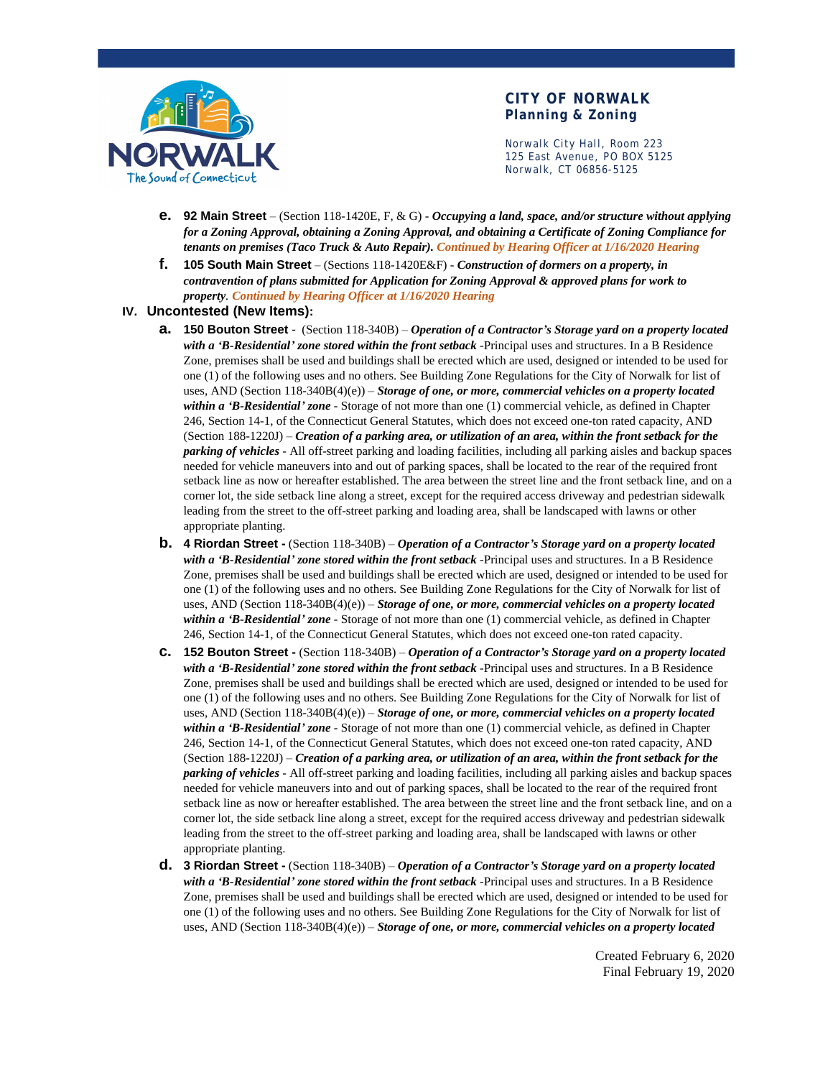

Norwalk City Hall, Room 223 125 East Avenue, PO BOX 5125 Norwalk, CT 06856-5125

- **e. 92 Main Street**  (Section 118-1420E, F, & G) *Occupying a land, space, and/or structure without applying for a Zoning Approval, obtaining a Zoning Approval, and obtaining a Certificate of Zoning Compliance for tenants on premises (Taco Truck & Auto Repair). Continued by Hearing Officer at 1/16/2020 Hearing*
- **f. 105 South Main Street** (Sections 118-1420E&F) *Construction of dormers on a property, in contravention of plans submitted for Application for Zoning Approval & approved plans for work to property. Continued by Hearing Officer at 1/16/2020 Hearing*

#### **IV. Uncontested (New Items):**

- **a. 150 Bouton Street**  (Section 118-340B) *Operation of a Contractor's Storage yard on a property located with a 'B-Residential' zone stored within the front setback* -Principal uses and structures. In a B Residence Zone, premises shall be used and buildings shall be erected which are used, designed or intended to be used for one (1) of the following uses and no others. See Building Zone Regulations for the City of Norwalk for list of uses, AND (Section 118-340B(4)(e)) – *Storage of one, or more, commercial vehicles on a property located within a 'B-Residential' zone* - Storage of not more than one (1) commercial vehicle, as defined in Chapter 246, Section 14-1, of the Connecticut General Statutes, which does not exceed one-ton rated capacity, AND (Section 188-1220J) – *Creation of a parking area, or utilization of an area, within the front setback for the parking of vehicles* - All off-street parking and loading facilities, including all parking aisles and backup spaces needed for vehicle maneuvers into and out of parking spaces, shall be located to the rear of the required front setback line as now or hereafter established. The area between the street line and the front setback line, and on a corner lot, the side setback line along a street, except for the required access driveway and pedestrian sidewalk leading from the street to the off-street parking and loading area, shall be landscaped with lawns or other appropriate planting.
- **b. 4 Riordan Street -** (Section 118-340B) *Operation of a Contractor's Storage yard on a property located with a 'B-Residential' zone stored within the front setback* -Principal uses and structures. In a B Residence Zone, premises shall be used and buildings shall be erected which are used, designed or intended to be used for one (1) of the following uses and no others. See Building Zone Regulations for the City of Norwalk for list of uses, AND (Section 118-340B(4)(e)) – *Storage of one, or more, commercial vehicles on a property located within a 'B-Residential' zone* - Storage of not more than one (1) commercial vehicle, as defined in Chapter 246, Section 14-1, of the Connecticut General Statutes, which does not exceed one-ton rated capacity.
- **c. 152 Bouton Street** (Section 118-340B) *Operation of a Contractor's Storage yard on a property located with a 'B-Residential' zone stored within the front setback* -Principal uses and structures. In a B Residence Zone, premises shall be used and buildings shall be erected which are used, designed or intended to be used for one (1) of the following uses and no others. See Building Zone Regulations for the City of Norwalk for list of uses, AND (Section 118-340B(4)(e)) – *Storage of one, or more, commercial vehicles on a property located within a 'B-Residential' zone* - Storage of not more than one (1) commercial vehicle, as defined in Chapter 246, Section 14-1, of the Connecticut General Statutes, which does not exceed one-ton rated capacity, AND (Section 188-1220J) – *Creation of a parking area, or utilization of an area, within the front setback for the parking of vehicles* - All off-street parking and loading facilities, including all parking aisles and backup spaces needed for vehicle maneuvers into and out of parking spaces, shall be located to the rear of the required front setback line as now or hereafter established. The area between the street line and the front setback line, and on a corner lot, the side setback line along a street, except for the required access driveway and pedestrian sidewalk leading from the street to the off-street parking and loading area, shall be landscaped with lawns or other appropriate planting.
- **d. 3 Riordan Street -** (Section 118-340B) *Operation of a Contractor's Storage yard on a property located with a 'B-Residential' zone stored within the front setback* -Principal uses and structures. In a B Residence Zone, premises shall be used and buildings shall be erected which are used, designed or intended to be used for one (1) of the following uses and no others. See Building Zone Regulations for the City of Norwalk for list of uses, AND (Section 118-340B(4)(e)) – *Storage of one, or more, commercial vehicles on a property located*

Created February 6, 2020 Final February 19, 2020